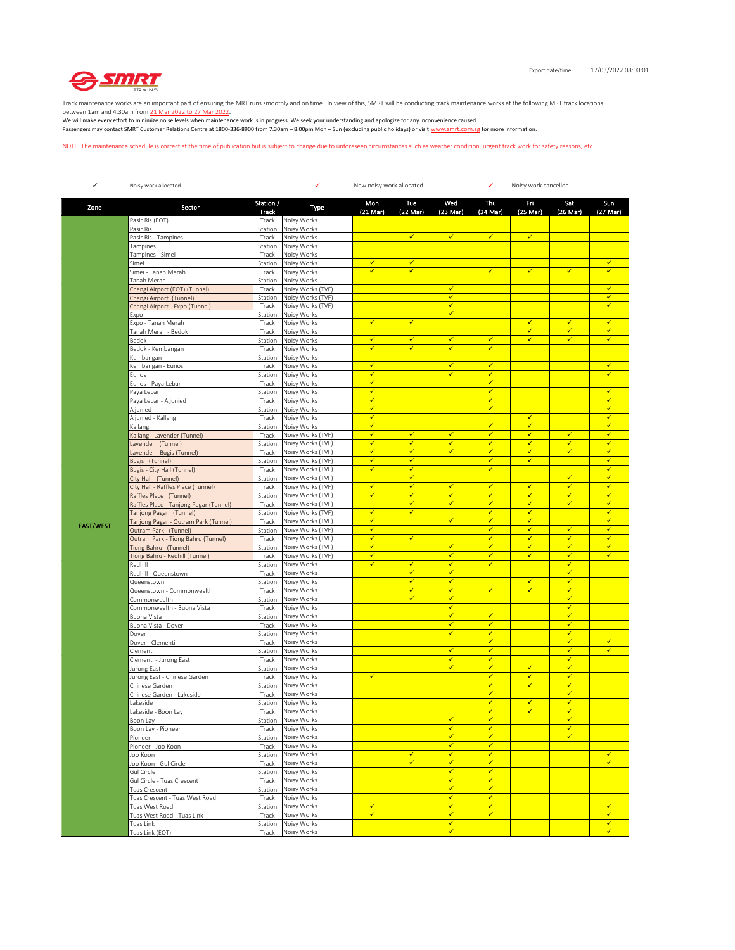

Track maintenance works are an important part of ensuring the MRT runs smoothly and on time. In view of this, SMRT will be conducting track maintenance works at the following MRT track locations

between 1am and 4.30am from <u>21 Mar 2022 to 27 Mar 2022</u>.<br>We will make every effort to minimize noise levels when maintenance work is in progress. We seek your understanding and apologize for any inconvenience caused. Passengers may contact SMRT Customer Relations Centre at 1800-336-8900 from 7.30am – 8.00pm Mon – Sun (excluding public holidays) or visit www.smrt.com.sg for more information.

NOTE: The maintenance schedule is correct at the time of publication but is subject to change due to unforeseen circumstances such as weather condition, urgent track work for safety reasons, etc.

| $\checkmark$     | Noisy work allocated                                         |                           | ✓<br>New noisy work allocated<br>↵     |                              |                              |                                         |                              | Noisy work cancelled         |                                         |                              |  |
|------------------|--------------------------------------------------------------|---------------------------|----------------------------------------|------------------------------|------------------------------|-----------------------------------------|------------------------------|------------------------------|-----------------------------------------|------------------------------|--|
| Zone             | Sector                                                       | Station /<br><b>Track</b> | Type                                   | Mon<br>$(21$ Mar)            | Tue<br>(22 Mar)              | Wed<br>$(23 \text{ Mar})$               | Thu<br>(24 Mar)              | Fri<br>(25 Mar)              | Sat<br>(26 Mar)                         | Sun<br>(27 Mar)              |  |
|                  | Pasir Ris (EOT)                                              | Track                     | Noisy Works                            |                              |                              |                                         |                              |                              |                                         |                              |  |
|                  | Pasir Ris                                                    | Station                   | Noisy Works                            |                              |                              |                                         |                              |                              |                                         |                              |  |
|                  | Pasir Ris - Tampines                                         | Track                     | Noisy Works<br>Noisy Works             |                              | ✓                            | $\checkmark$                            | $\checkmark$                 | $\checkmark$                 |                                         |                              |  |
|                  | Tampines<br>Tampines - Simei                                 | Station<br>Track          | Noisy Works                            |                              |                              |                                         |                              |                              |                                         |                              |  |
|                  | Simei                                                        | Station                   | Noisy Works                            | $\checkmark$                 | $\checkmark$                 |                                         |                              |                              |                                         | $\checkmark$                 |  |
|                  | Simei - Tanah Merah                                          | Track                     | Noisy Works                            | ✓                            | $\checkmark$                 |                                         | $\checkmark$                 | $\checkmark$                 | $\checkmark$                            | ✓                            |  |
|                  | Tanah Merah                                                  | Station                   | Noisy Works                            |                              |                              |                                         |                              |                              |                                         |                              |  |
|                  | Changi Airport (EOT) (Tunnel)                                | Track                     | Noisy Works (TVF)                      |                              |                              | $\checkmark$                            |                              |                              |                                         | $\checkmark$                 |  |
|                  | Changi Airport (Tunnel)<br>Changi Airport - Expo (Tunnel)    | Station<br>Track          | Noisy Works (TVF)<br>Noisy Works (TVF) |                              |                              | $\checkmark$<br>✔                       |                              |                              |                                         | $\checkmark$<br>✓            |  |
|                  | Expo                                                         | Station                   | Noisy Works                            |                              |                              | $\checkmark$                            |                              |                              |                                         |                              |  |
|                  | Expo - Tanah Merah                                           | Track                     | Noisy Works                            | $\checkmark$                 | $\checkmark$                 |                                         |                              | $\checkmark$                 | $\checkmark$                            | $\checkmark$                 |  |
|                  | Tanah Merah - Bedok                                          | Track                     | Noisy Works                            |                              |                              |                                         |                              | $\checkmark$                 | $\checkmark$                            | $\checkmark$                 |  |
|                  | Bedok                                                        | Station                   | Noisy Works                            | ✓                            | $\checkmark$                 | $\checkmark$                            | $\checkmark$                 | ✓                            | $\checkmark$                            | ✓                            |  |
|                  | Bedok - Kembangan                                            | Track                     | Noisy Works                            | ✓                            | ✓                            | $\checkmark$                            | $\checkmark$                 |                              |                                         |                              |  |
|                  | Kembangan<br>Kembangan - Eunos                               | Station<br>Track          | Noisy Works<br>Noisy Works             | $\checkmark$                 |                              | $\checkmark$                            | $\checkmark$                 |                              |                                         | $\checkmark$                 |  |
|                  | Eunos                                                        | Station                   | Noisy Works                            | $\checkmark$                 |                              | $\checkmark$                            | $\checkmark$                 |                              |                                         | $\checkmark$                 |  |
|                  | Eunos - Paya Lebar                                           | Track                     | Noisy Works                            | ✓                            |                              |                                         | $\checkmark$                 |                              |                                         |                              |  |
|                  | Paya Lebar                                                   | Station                   | Noisy Works                            | ✓                            |                              |                                         | $\checkmark$                 |                              |                                         | $\checkmark$                 |  |
|                  | Paya Lebar - Aljunied                                        | Track                     | Noisy Works                            | $\checkmark$                 |                              |                                         | $\checkmark$                 |                              |                                         | $\checkmark$                 |  |
|                  | Aljunied                                                     | Station                   | Noisy Works                            | $\checkmark$                 |                              |                                         | $\checkmark$                 |                              |                                         | $\checkmark$                 |  |
|                  | Aljunied - Kallang<br>Kallang                                | Track<br>Station          | Noisy Works<br>Noisy Works             | $\checkmark$<br>√            |                              |                                         | $\checkmark$                 | $\checkmark$<br>$\checkmark$ |                                         | $\checkmark$<br>$\checkmark$ |  |
|                  | Kallang - Lavender (Tunnel)                                  | Track                     | Noisy Works (TVF)                      | ✓                            | $\checkmark$                 | $\checkmark$                            | $\checkmark$                 | √                            | $\checkmark$                            | ✓                            |  |
|                  | avender (Tunnel)                                             | Station                   | Noisy Works (TVF)                      | $\checkmark$                 | $\checkmark$                 | $\checkmark$                            | $\checkmark$                 | $\checkmark$                 | $\checkmark$                            | $\checkmark$                 |  |
|                  | Lavender - Bugis (Tunnel)                                    | Track                     | Noisy Works (TVF)                      | $\checkmark$                 | $\checkmark$                 | $\checkmark$                            | $\checkmark$                 | $\checkmark$                 | $\checkmark$                            | $\checkmark$                 |  |
|                  | Bugis (Tunnel)                                               | Station                   | Noisy Works (TVF)                      | $\checkmark$                 | $\checkmark$                 |                                         | $\checkmark$                 | $\checkmark$                 |                                         | $\checkmark$                 |  |
|                  | <b>Bugis - City Hall (Tunnel)</b>                            | Track                     | Noisy Works (TVF)                      | ✓                            | ✓                            |                                         | $\checkmark$                 |                              |                                         | $\checkmark$                 |  |
|                  | City Hall (Tunnel)                                           | Station                   | Noisy Works (TVF)<br>Noisy Works (TVF) | $\checkmark$                 | $\checkmark$<br>$\checkmark$ | $\checkmark$                            | $\checkmark$                 | $\checkmark$                 | $\checkmark$<br>$\checkmark$            | ✓<br>$\checkmark$            |  |
|                  | City Hall - Raffles Place (Tunnel)<br>Raffles Place (Tunnel) | Track<br>Station          | Noisy Works (TVF)                      | $\checkmark$                 | $\checkmark$                 | $\checkmark$                            | $\checkmark$                 | $\checkmark$                 | $\checkmark$                            | $\checkmark$                 |  |
|                  | Raffles Place - Tanjong Pagar (Tunnel)                       | Track                     | Noisy Works (TVF)                      |                              | $\checkmark$                 | $\checkmark$                            | $\checkmark$                 | $\checkmark$                 | $\checkmark$                            | $\checkmark$                 |  |
|                  | Tanjong Pagar (Tunnel)                                       | Station                   | Noisy Works (TVF)                      | $\checkmark$                 | ✓                            |                                         | $\checkmark$                 | $\checkmark$                 |                                         | $\overline{\checkmark}$      |  |
| <b>EAST/WEST</b> | Tanjong Pagar - Outram Park (Tunnel)                         | Track                     | Noisy Works (TVF)                      | √                            |                              | $\checkmark$                            | $\checkmark$                 | $\checkmark$                 |                                         | $\checkmark$                 |  |
|                  | Outram Park (Tunnel)                                         | Station                   | Noisy Works (TVF)                      | $\overline{\checkmark}$      |                              |                                         | $\checkmark$                 | $\overline{\checkmark}$      | $\checkmark$                            | $\checkmark$                 |  |
|                  | Outram Park - Tiong Bahru (Tunnel)                           | Track                     | Noisy Works (TVF)<br>Noisy Works (TVF) | $\checkmark$<br>$\checkmark$ | $\checkmark$                 | $\checkmark$                            | $\checkmark$<br>$\checkmark$ | $\checkmark$<br>$\checkmark$ | $\checkmark$<br>$\checkmark$            | $\checkmark$<br>$\checkmark$ |  |
|                  | Tiong Bahru (Tunnel)<br>Tiong Bahru - Redhill (Tunnel)       | Station<br>Track          | Noisy Works (TVF)                      | √                            |                              | ✓                                       | $\checkmark$                 | $\checkmark$                 | $\checkmark$                            | ✓                            |  |
|                  | Redhill                                                      | Station                   | Noisy Works                            | √                            | $\checkmark$                 | $\checkmark$                            | $\checkmark$                 |                              | $\checkmark$                            |                              |  |
|                  | Redhill - Queenstown                                         | Track                     | Noisy Works                            |                              | $\overline{\checkmark}$      | $\checkmark$                            |                              |                              | $\overline{\checkmark}$                 |                              |  |
|                  | Queenstown                                                   | Station                   | Noisy Works                            |                              | $\checkmark$                 | $\checkmark$                            |                              | $\checkmark$                 | $\checkmark$                            |                              |  |
|                  | Queenstown - Commonwealth                                    | Track                     | Noisy Works                            |                              | $\checkmark$<br>✓            | $\checkmark$<br>✓                       | $\checkmark$                 | $\checkmark$                 | $\checkmark$<br>$\checkmark$            |                              |  |
|                  | Commonwealth<br>Commonwealth - Buona Vista                   | Station<br>Track          | Noisy Works<br>Noisy Works             |                              |                              | ✓                                       |                              |                              | $\checkmark$                            |                              |  |
|                  | Buona Vista                                                  | Station                   | Noisy Works                            |                              |                              | $\overline{\checkmark}$                 | $\checkmark$                 |                              | $\checkmark$                            |                              |  |
|                  | Buona Vista - Dover                                          | Track                     | Noisy Works                            |                              |                              | $\checkmark$                            | $\checkmark$                 |                              | $\checkmark$                            |                              |  |
|                  | Dover                                                        | Station                   | Noisy Works                            |                              |                              | $\checkmark$                            | $\checkmark$                 |                              | $\checkmark$                            |                              |  |
|                  | Dover - Clementi                                             | Track                     | Noisy Works                            |                              |                              |                                         | $\checkmark$                 |                              | ✔                                       | $\checkmark$                 |  |
|                  | Clementi<br>Clementi - Jurong East                           | Station<br>Track          | Noisy Works<br>Noisy Works             |                              |                              | $\overline{\checkmark}$<br>$\checkmark$ | $\checkmark$<br>$\checkmark$ |                              | $\checkmark$<br>$\checkmark$            |                              |  |
|                  | Jurong East                                                  | Station                   | Noisy Works                            |                              |                              | $\checkmark$                            | $\checkmark$                 | $\checkmark$                 | $\checkmark$                            |                              |  |
|                  | Jurong East - Chinese Garden                                 | Track                     | Noisy Works                            | $\checkmark$                 |                              |                                         | $\checkmark$                 | ✓                            | $\checkmark$                            |                              |  |
|                  | Chinese Garden                                               | Station                   | Noisy Works                            |                              |                              |                                         | $\checkmark$                 | ✓                            | $\checkmark$                            |                              |  |
|                  | Chinese Garden - Lakeside                                    | Track                     | Noisy Works                            |                              |                              |                                         | $\checkmark$                 |                              | $\checkmark$                            |                              |  |
|                  | _akeside                                                     | Station                   | Noisy Works                            |                              |                              |                                         | $\checkmark$<br>✓            | $\checkmark$<br>✓            | $\overline{\checkmark}$<br>$\checkmark$ |                              |  |
|                  | Lakeside - Boon Lay                                          | Track                     | Noisy Works<br>Station Noisy Works     |                              |                              | ✓                                       | ✓                            |                              | ✓                                       |                              |  |
|                  | Boon Lay<br>Boon Lay - Pioneer                               | Track                     | Noisy Works                            |                              |                              | $\checkmark$                            | $\checkmark$                 |                              | $\checkmark$                            |                              |  |
|                  | Pioneer                                                      | Station                   | Noisy Works                            |                              |                              | $\checkmark$                            | $\checkmark$                 |                              | $\checkmark$                            |                              |  |
|                  | Pioneer - Joo Koon                                           | Track                     | Noisy Works                            |                              |                              | $\checkmark$                            | $\checkmark$                 |                              |                                         |                              |  |
|                  | Joo Koon                                                     |                           | Station Noisy Works                    |                              | $\checkmark$                 | $\checkmark$                            | $\checkmark$                 |                              |                                         | $\checkmark$                 |  |
|                  | Joo Koon - Gul Circle                                        | Track                     | Noisy Works                            |                              | $\checkmark$                 | $\checkmark$                            | $\checkmark$                 |                              |                                         | $\checkmark$                 |  |
|                  | Gul Circle                                                   | Station<br>Track          | Noisy Works<br>Noisy Works             |                              |                              | ✓<br>$\checkmark$                       | $\checkmark$<br>$\checkmark$ |                              |                                         |                              |  |
|                  | Gul Circle - Tuas Crescent<br>Tuas Crescent                  | Station                   | Noisy Works                            |                              |                              | $\checkmark$                            | $\checkmark$                 |                              |                                         |                              |  |
|                  | Tuas Crescent - Tuas West Road                               | Track                     | Noisy Works                            |                              |                              | $\checkmark$                            | $\checkmark$                 |                              |                                         |                              |  |
|                  | Tuas West Road                                               | Station                   | Noisy Works                            | ✓                            |                              | $\checkmark$                            | $\checkmark$                 |                              |                                         | $\checkmark$                 |  |
|                  | Tuas West Road - Tuas Link                                   | Track                     | Noisy Works                            | ✓                            |                              | ✓                                       | $\checkmark$                 |                              |                                         | $\checkmark$                 |  |
|                  | Tuas Link                                                    | Station                   | Noisy Works                            |                              |                              | $\checkmark$                            |                              |                              |                                         | $\checkmark$                 |  |
|                  | Tuas Link (EOT)                                              | Track                     | Noisy Works                            |                              |                              | $\checkmark$                            |                              |                              |                                         | $\checkmark$                 |  |